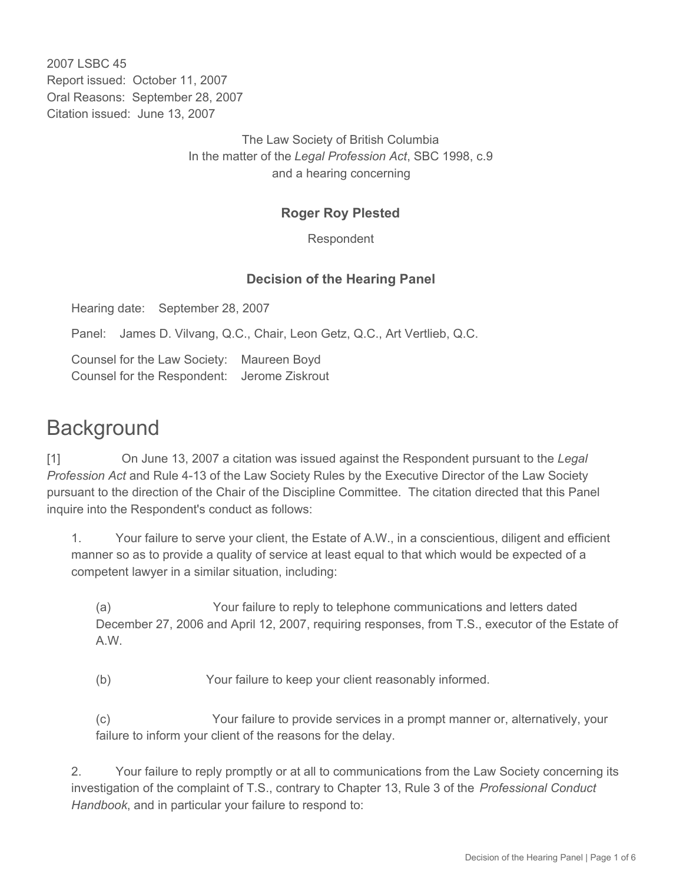2007 LSBC 45 Report issued: October 11, 2007 Oral Reasons: September 28, 2007 Citation issued: June 13, 2007

> The Law Society of British Columbia In the matter of the *Legal Profession Act*, SBC 1998, c.9 and a hearing concerning

## **Roger Roy Plested**

Respondent

## **Decision of the Hearing Panel**

Hearing date: September 28, 2007

Panel: James D. Vilvang, Q.C., Chair, Leon Getz, Q.C., Art Vertlieb, Q.C.

Counsel for the Law Society: Maureen Boyd Counsel for the Respondent: Jerome Ziskrout

## **Background**

[1] On June 13, 2007 a citation was issued against the Respondent pursuant to the *Legal Profession Act* and Rule 4-13 of the Law Society Rules by the Executive Director of the Law Society pursuant to the direction of the Chair of the Discipline Committee. The citation directed that this Panel inquire into the Respondent's conduct as follows:

1. Your failure to serve your client, the Estate of A.W., in a conscientious, diligent and efficient manner so as to provide a quality of service at least equal to that which would be expected of a competent lawyer in a similar situation, including:

(a) Your failure to reply to telephone communications and letters dated December 27, 2006 and April 12, 2007, requiring responses, from T.S., executor of the Estate of A.W.

(b) Your failure to keep your client reasonably informed.

(c) Your failure to provide services in a prompt manner or, alternatively, your failure to inform your client of the reasons for the delay.

2. Your failure to reply promptly or at all to communications from the Law Society concerning its investigation of the complaint of T.S., contrary to Chapter 13, Rule 3 of the *Professional Conduct Handbook*, and in particular your failure to respond to: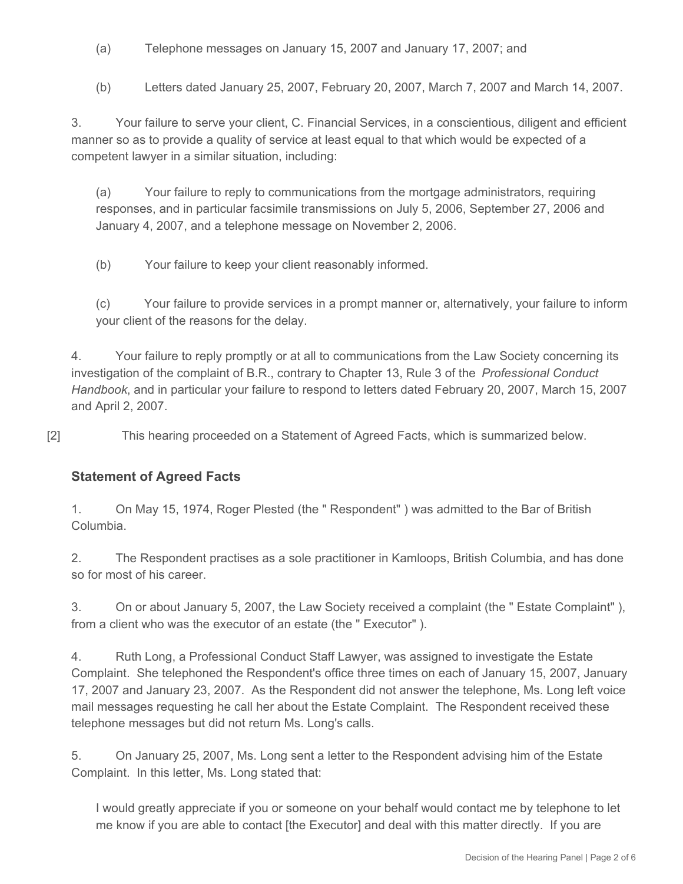- (a) Telephone messages on January 15, 2007 and January 17, 2007; and
- (b) Letters dated January 25, 2007, February 20, 2007, March 7, 2007 and March 14, 2007.

3. Your failure to serve your client, C. Financial Services, in a conscientious, diligent and efficient manner so as to provide a quality of service at least equal to that which would be expected of a competent lawyer in a similar situation, including:

(a) Your failure to reply to communications from the mortgage administrators, requiring responses, and in particular facsimile transmissions on July 5, 2006, September 27, 2006 and January 4, 2007, and a telephone message on November 2, 2006.

(b) Your failure to keep your client reasonably informed.

(c) Your failure to provide services in a prompt manner or, alternatively, your failure to inform your client of the reasons for the delay.

4. Your failure to reply promptly or at all to communications from the Law Society concerning its investigation of the complaint of B.R., contrary to Chapter 13, Rule 3 of the *Professional Conduct Handbook*, and in particular your failure to respond to letters dated February 20, 2007, March 15, 2007 and April 2, 2007.

[2] This hearing proceeded on a Statement of Agreed Facts, which is summarized below.

## **Statement of Agreed Facts**

1. On May 15, 1974, Roger Plested (the " Respondent" ) was admitted to the Bar of British Columbia.

2. The Respondent practises as a sole practitioner in Kamloops, British Columbia, and has done so for most of his career.

3. On or about January 5, 2007, the Law Society received a complaint (the " Estate Complaint" ), from a client who was the executor of an estate (the " Executor" ).

4. Ruth Long, a Professional Conduct Staff Lawyer, was assigned to investigate the Estate Complaint. She telephoned the Respondent's office three times on each of January 15, 2007, January 17, 2007 and January 23, 2007. As the Respondent did not answer the telephone, Ms. Long left voice mail messages requesting he call her about the Estate Complaint. The Respondent received these telephone messages but did not return Ms. Long's calls.

5. On January 25, 2007, Ms. Long sent a letter to the Respondent advising him of the Estate Complaint. In this letter, Ms. Long stated that:

I would greatly appreciate if you or someone on your behalf would contact me by telephone to let me know if you are able to contact [the Executor] and deal with this matter directly. If you are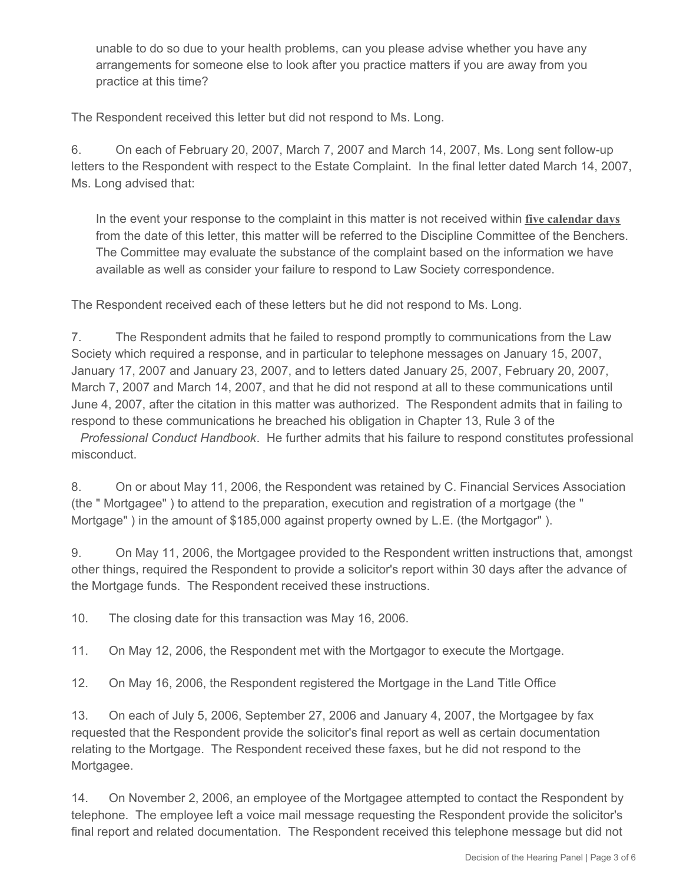unable to do so due to your health problems, can you please advise whether you have any arrangements for someone else to look after you practice matters if you are away from you practice at this time?

The Respondent received this letter but did not respond to Ms. Long.

6. On each of February 20, 2007, March 7, 2007 and March 14, 2007, Ms. Long sent follow-up letters to the Respondent with respect to the Estate Complaint. In the final letter dated March 14, 2007, Ms. Long advised that:

In the event your response to the complaint in this matter is not received within **five calendar days** from the date of this letter, this matter will be referred to the Discipline Committee of the Benchers. The Committee may evaluate the substance of the complaint based on the information we have available as well as consider your failure to respond to Law Society correspondence.

The Respondent received each of these letters but he did not respond to Ms. Long.

7. The Respondent admits that he failed to respond promptly to communications from the Law Society which required a response, and in particular to telephone messages on January 15, 2007, January 17, 2007 and January 23, 2007, and to letters dated January 25, 2007, February 20, 2007, March 7, 2007 and March 14, 2007, and that he did not respond at all to these communications until June 4, 2007, after the citation in this matter was authorized. The Respondent admits that in failing to respond to these communications he breached his obligation in Chapter 13, Rule 3 of the

*Professional Conduct Handbook*. He further admits that his failure to respond constitutes professional misconduct.

8. On or about May 11, 2006, the Respondent was retained by C. Financial Services Association (the " Mortgagee" ) to attend to the preparation, execution and registration of a mortgage (the " Mortgage" ) in the amount of \$185,000 against property owned by L.E. (the Mortgagor" ).

9. On May 11, 2006, the Mortgagee provided to the Respondent written instructions that, amongst other things, required the Respondent to provide a solicitor's report within 30 days after the advance of the Mortgage funds. The Respondent received these instructions.

10. The closing date for this transaction was May 16, 2006.

11. On May 12, 2006, the Respondent met with the Mortgagor to execute the Mortgage.

12. On May 16, 2006, the Respondent registered the Mortgage in the Land Title Office

13. On each of July 5, 2006, September 27, 2006 and January 4, 2007, the Mortgagee by fax requested that the Respondent provide the solicitor's final report as well as certain documentation relating to the Mortgage. The Respondent received these faxes, but he did not respond to the Mortgagee.

14. On November 2, 2006, an employee of the Mortgagee attempted to contact the Respondent by telephone. The employee left a voice mail message requesting the Respondent provide the solicitor's final report and related documentation. The Respondent received this telephone message but did not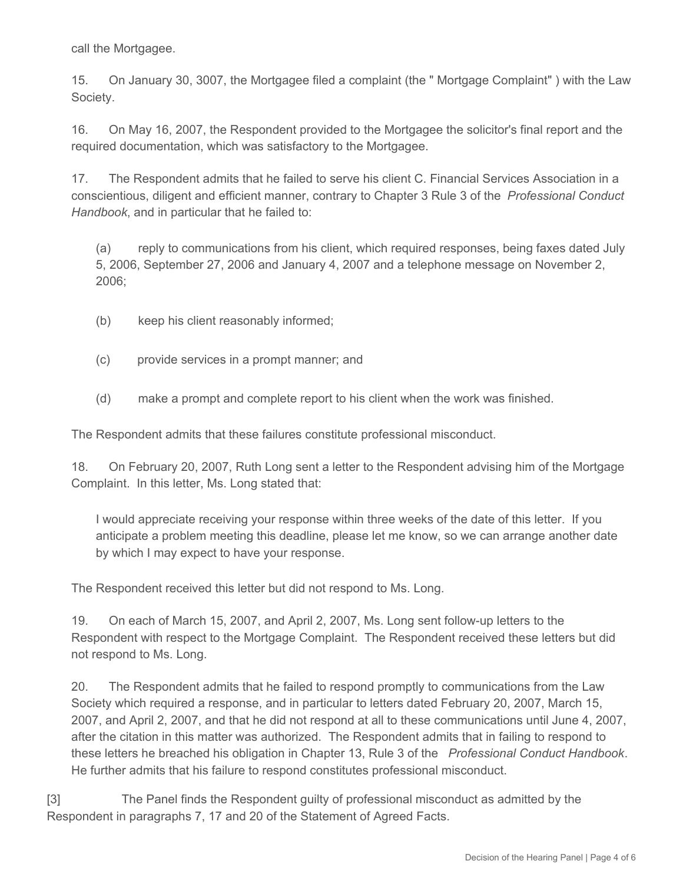call the Mortgagee.

15. On January 30, 3007, the Mortgagee filed a complaint (the " Mortgage Complaint" ) with the Law Society.

16. On May 16, 2007, the Respondent provided to the Mortgagee the solicitor's final report and the required documentation, which was satisfactory to the Mortgagee.

17. The Respondent admits that he failed to serve his client C. Financial Services Association in a conscientious, diligent and efficient manner, contrary to Chapter 3 Rule 3 of the *Professional Conduct Handbook*, and in particular that he failed to:

(a) reply to communications from his client, which required responses, being faxes dated July 5, 2006, September 27, 2006 and January 4, 2007 and a telephone message on November 2, 2006;

- (b) keep his client reasonably informed;
- (c) provide services in a prompt manner; and
- (d) make a prompt and complete report to his client when the work was finished.

The Respondent admits that these failures constitute professional misconduct.

18. On February 20, 2007, Ruth Long sent a letter to the Respondent advising him of the Mortgage Complaint. In this letter, Ms. Long stated that:

I would appreciate receiving your response within three weeks of the date of this letter. If you anticipate a problem meeting this deadline, please let me know, so we can arrange another date by which I may expect to have your response.

The Respondent received this letter but did not respond to Ms. Long.

19. On each of March 15, 2007, and April 2, 2007, Ms. Long sent follow-up letters to the Respondent with respect to the Mortgage Complaint. The Respondent received these letters but did not respond to Ms. Long.

20. The Respondent admits that he failed to respond promptly to communications from the Law Society which required a response, and in particular to letters dated February 20, 2007, March 15, 2007, and April 2, 2007, and that he did not respond at all to these communications until June 4, 2007, after the citation in this matter was authorized. The Respondent admits that in failing to respond to these letters he breached his obligation in Chapter 13, Rule 3 of the *Professional Conduct Handbook*. He further admits that his failure to respond constitutes professional misconduct.

[3] The Panel finds the Respondent guilty of professional misconduct as admitted by the Respondent in paragraphs 7, 17 and 20 of the Statement of Agreed Facts.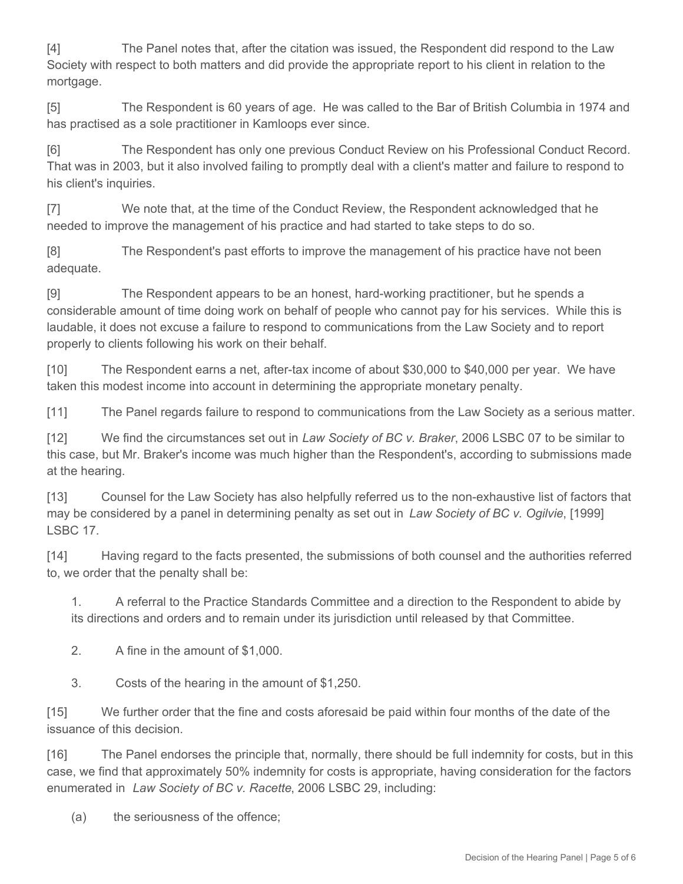[4] The Panel notes that, after the citation was issued, the Respondent did respond to the Law Society with respect to both matters and did provide the appropriate report to his client in relation to the mortgage.

[5] The Respondent is 60 years of age. He was called to the Bar of British Columbia in 1974 and has practised as a sole practitioner in Kamloops ever since.

[6] The Respondent has only one previous Conduct Review on his Professional Conduct Record. That was in 2003, but it also involved failing to promptly deal with a client's matter and failure to respond to his client's inquiries.

[7] We note that, at the time of the Conduct Review, the Respondent acknowledged that he needed to improve the management of his practice and had started to take steps to do so.

[8] The Respondent's past efforts to improve the management of his practice have not been adequate.

[9] The Respondent appears to be an honest, hard-working practitioner, but he spends a considerable amount of time doing work on behalf of people who cannot pay for his services. While this is laudable, it does not excuse a failure to respond to communications from the Law Society and to report properly to clients following his work on their behalf.

[10] The Respondent earns a net, after-tax income of about \$30,000 to \$40,000 per year. We have taken this modest income into account in determining the appropriate monetary penalty.

[11] The Panel regards failure to respond to communications from the Law Society as a serious matter.

[12] We find the circumstances set out in *Law Society of BC v. Braker*, 2006 LSBC 07 to be similar to this case, but Mr. Braker's income was much higher than the Respondent's, according to submissions made at the hearing.

[13] Counsel for the Law Society has also helpfully referred us to the non-exhaustive list of factors that may be considered by a panel in determining penalty as set out in *Law Society of BC v. Ogilvie*, [1999] LSBC 17.

[14] Having regard to the facts presented, the submissions of both counsel and the authorities referred to, we order that the penalty shall be:

1. A referral to the Practice Standards Committee and a direction to the Respondent to abide by its directions and orders and to remain under its jurisdiction until released by that Committee.

2. A fine in the amount of \$1,000.

3. Costs of the hearing in the amount of \$1,250.

[15] We further order that the fine and costs aforesaid be paid within four months of the date of the issuance of this decision.

[16] The Panel endorses the principle that, normally, there should be full indemnity for costs, but in this case, we find that approximately 50% indemnity for costs is appropriate, having consideration for the factors enumerated in *Law Society of BC v. Racette*, 2006 LSBC 29, including:

(a) the seriousness of the offence;